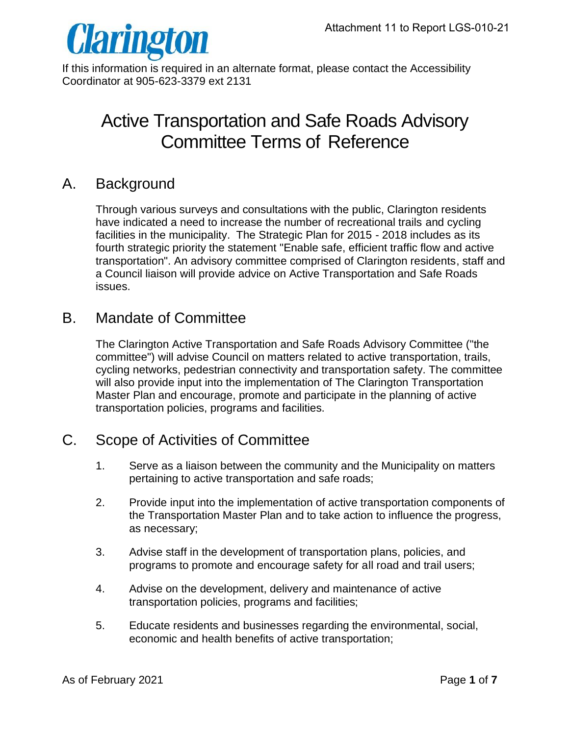

If this information is required in an alternate format, please contact the Accessibility Coordinator at 905-623-3379 ext 2131

# Active Transportation and Safe Roads Advisory Committee Terms of Reference

## A. Background

Through various surveys and consultations with the public, Clarington residents have indicated a need to increase the number of recreational trails and cycling facilities in the municipality. The Strategic Plan for 2015 - 2018 includes as its fourth strategic priority the statement "Enable safe, efficient traffic flow and active transportation". An advisory committee comprised of Clarington residents, staff and a Council liaison will provide advice on Active Transportation and Safe Roads issues.

# B. Mandate of Committee

The Clarington Active Transportation and Safe Roads Advisory Committee ("the committee") will advise Council on matters related to active transportation, trails, cycling networks, pedestrian connectivity and transportation safety. The committee will also provide input into the implementation of The Clarington Transportation Master Plan and encourage, promote and participate in the planning of active transportation policies, programs and facilities.

# C. Scope of Activities of Committee

- 1. Serve as a liaison between the community and the Municipality on matters pertaining to active transportation and safe roads;
- 2. Provide input into the implementation of active transportation components of the Transportation Master Plan and to take action to influence the progress, as necessary;
- 3. Advise staff in the development of transportation plans, policies, and programs to promote and encourage safety for all road and trail users;
- 4. Advise on the development, delivery and maintenance of active transportation policies, programs and facilities;
- 5. Educate residents and businesses regarding the environmental, social, economic and health benefits of active transportation;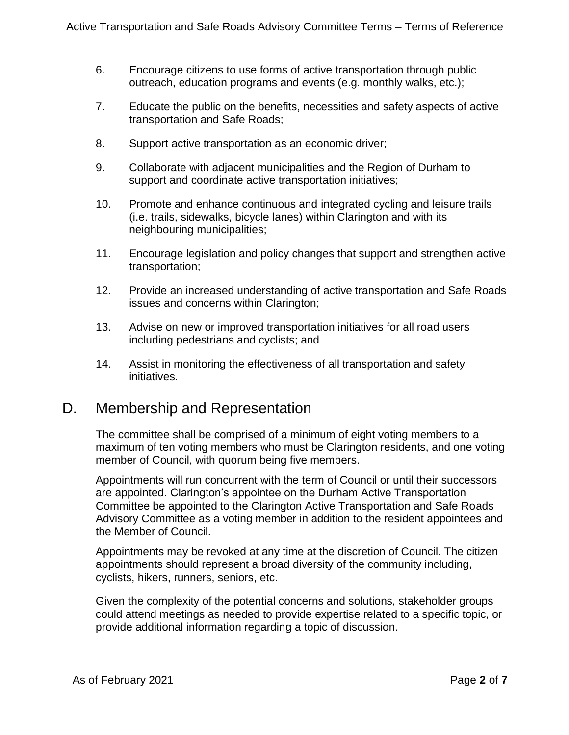- 6. Encourage citizens to use forms of active transportation through public outreach, education programs and events (e.g. monthly walks, etc.);
- 7. Educate the public on the benefits, necessities and safety aspects of active transportation and Safe Roads;
- 8. Support active transportation as an economic driver;
- 9. Collaborate with adjacent municipalities and the Region of Durham to support and coordinate active transportation initiatives;
- 10. Promote and enhance continuous and integrated cycling and leisure trails (i.e. trails, sidewalks, bicycle lanes) within Clarington and with its neighbouring municipalities;
- 11. Encourage legislation and policy changes that support and strengthen active transportation;
- 12. Provide an increased understanding of active transportation and Safe Roads issues and concerns within Clarington;
- 13. Advise on new or improved transportation initiatives for all road users including pedestrians and cyclists; and
- 14. Assist in monitoring the effectiveness of all transportation and safety initiatives.

#### D. Membership and Representation

The committee shall be comprised of a minimum of eight voting members to a maximum of ten voting members who must be Clarington residents, and one voting member of Council, with quorum being five members.

Appointments will run concurrent with the term of Council or until their successors are appointed. Clarington's appointee on the Durham Active Transportation Committee be appointed to the Clarington Active Transportation and Safe Roads Advisory Committee as a voting member in addition to the resident appointees and the Member of Council.

Appointments may be revoked at any time at the discretion of Council. The citizen appointments should represent a broad diversity of the community including, cyclists, hikers, runners, seniors, etc.

Given the complexity of the potential concerns and solutions, stakeholder groups could attend meetings as needed to provide expertise related to a specific topic, or provide additional information regarding a topic of discussion.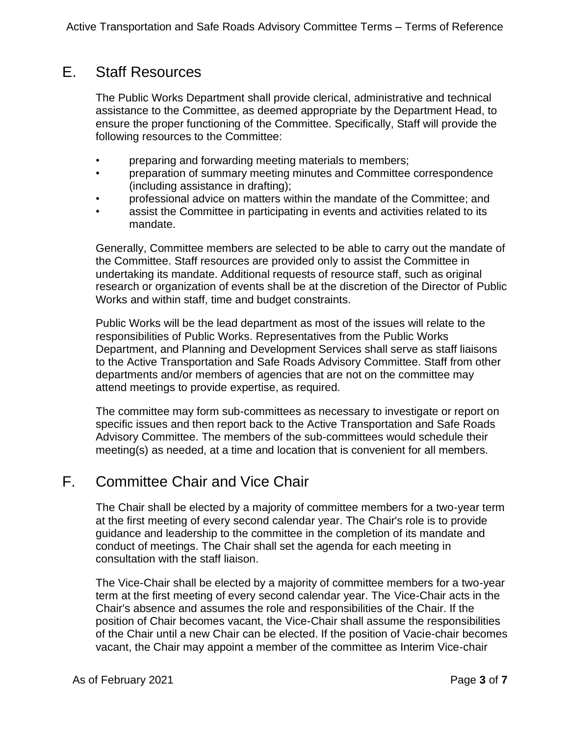# E. Staff Resources

The Public Works Department shall provide clerical, administrative and technical assistance to the Committee, as deemed appropriate by the Department Head, to ensure the proper functioning of the Committee. Specifically, Staff will provide the following resources to the Committee:

- preparing and forwarding meeting materials to members;
- preparation of summary meeting minutes and Committee correspondence (including assistance in drafting);
- professional advice on matters within the mandate of the Committee; and
- assist the Committee in participating in events and activities related to its mandate.

Generally, Committee members are selected to be able to carry out the mandate of the Committee. Staff resources are provided only to assist the Committee in undertaking its mandate. Additional requests of resource staff, such as original research or organization of events shall be at the discretion of the Director of Public Works and within staff, time and budget constraints.

Public Works will be the lead department as most of the issues will relate to the responsibilities of Public Works. Representatives from the Public Works Department, and Planning and Development Services shall serve as staff liaisons to the Active Transportation and Safe Roads Advisory Committee. Staff from other departments and/or members of agencies that are not on the committee may attend meetings to provide expertise, as required.

The committee may form sub-committees as necessary to investigate or report on specific issues and then report back to the Active Transportation and Safe Roads Advisory Committee. The members of the sub-committees would schedule their meeting(s) as needed, at a time and location that is convenient for all members.

# F. Committee Chair and Vice Chair

The Chair shall be elected by a majority of committee members for a two-year term at the first meeting of every second calendar year. The Chair's role is to provide guidance and leadership to the committee in the completion of its mandate and conduct of meetings. The Chair shall set the agenda for each meeting in consultation with the staff liaison.

The Vice-Chair shall be elected by a majority of committee members for a two-year term at the first meeting of every second calendar year. The Vice-Chair acts in the Chair's absence and assumes the role and responsibilities of the Chair. If the position of Chair becomes vacant, the Vice-Chair shall assume the responsibilities of the Chair until a new Chair can be elected. If the position of Vacie-chair becomes vacant, the Chair may appoint a member of the committee as Interim Vice-chair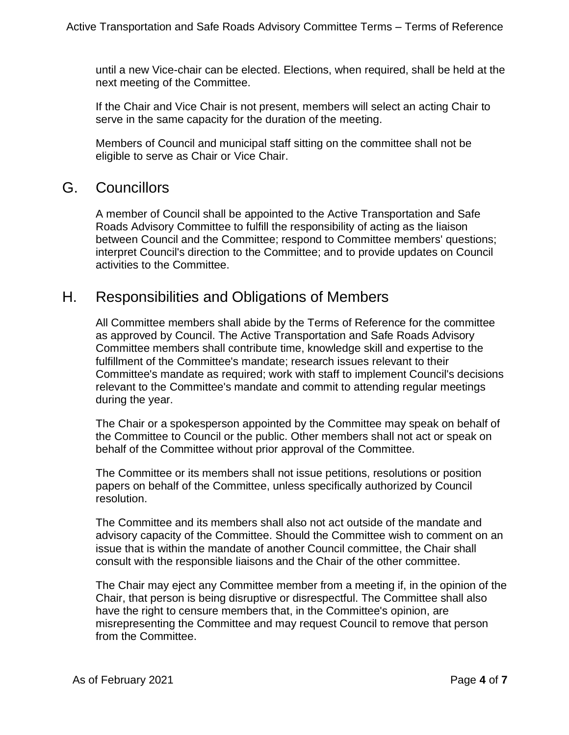until a new Vice-chair can be elected. Elections, when required, shall be held at the next meeting of the Committee.

If the Chair and Vice Chair is not present, members will select an acting Chair to serve in the same capacity for the duration of the meeting.

Members of Council and municipal staff sitting on the committee shall not be eligible to serve as Chair or Vice Chair.

#### G. Councillors

A member of Council shall be appointed to the Active Transportation and Safe Roads Advisory Committee to fulfill the responsibility of acting as the liaison between Council and the Committee; respond to Committee members' questions; interpret Council's direction to the Committee; and to provide updates on Council activities to the Committee.

#### H. Responsibilities and Obligations of Members

All Committee members shall abide by the Terms of Reference for the committee as approved by Council. The Active Transportation and Safe Roads Advisory Committee members shall contribute time, knowledge skill and expertise to the fulfillment of the Committee's mandate; research issues relevant to their Committee's mandate as required; work with staff to implement Council's decisions relevant to the Committee's mandate and commit to attending regular meetings during the year.

The Chair or a spokesperson appointed by the Committee may speak on behalf of the Committee to Council or the public. Other members shall not act or speak on behalf of the Committee without prior approval of the Committee.

The Committee or its members shall not issue petitions, resolutions or position papers on behalf of the Committee, unless specifically authorized by Council resolution.

The Committee and its members shall also not act outside of the mandate and advisory capacity of the Committee. Should the Committee wish to comment on an issue that is within the mandate of another Council committee, the Chair shall consult with the responsible liaisons and the Chair of the other committee.

The Chair may eject any Committee member from a meeting if, in the opinion of the Chair, that person is being disruptive or disrespectful. The Committee shall also have the right to censure members that, in the Committee's opinion, are misrepresenting the Committee and may request Council to remove that person from the Committee.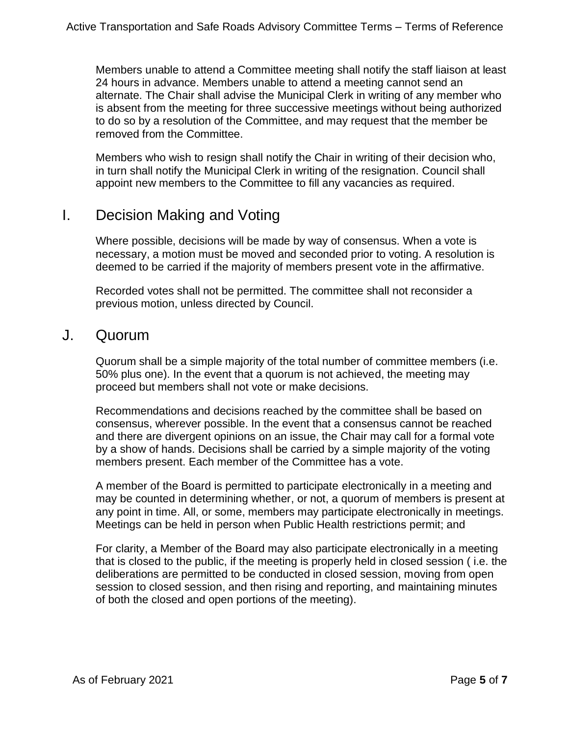Members unable to attend a Committee meeting shall notify the staff liaison at least 24 hours in advance. Members unable to attend a meeting cannot send an alternate. The Chair shall advise the Municipal Clerk in writing of any member who is absent from the meeting for three successive meetings without being authorized to do so by a resolution of the Committee, and may request that the member be removed from the Committee.

Members who wish to resign shall notify the Chair in writing of their decision who, in turn shall notify the Municipal Clerk in writing of the resignation. Council shall appoint new members to the Committee to fill any vacancies as required.

## I. Decision Making and Voting

Where possible, decisions will be made by way of consensus. When a vote is necessary, a motion must be moved and seconded prior to voting. A resolution is deemed to be carried if the majority of members present vote in the affirmative.

Recorded votes shall not be permitted. The committee shall not reconsider a previous motion, unless directed by Council.

#### J. Quorum

Quorum shall be a simple majority of the total number of committee members (i.e. 50% plus one). In the event that a quorum is not achieved, the meeting may proceed but members shall not vote or make decisions.

Recommendations and decisions reached by the committee shall be based on consensus, wherever possible. In the event that a consensus cannot be reached and there are divergent opinions on an issue, the Chair may call for a formal vote by a show of hands. Decisions shall be carried by a simple majority of the voting members present. Each member of the Committee has a vote.

A member of the Board is permitted to participate electronically in a meeting and may be counted in determining whether, or not, a quorum of members is present at any point in time. All, or some, members may participate electronically in meetings. Meetings can be held in person when Public Health restrictions permit; and

For clarity, a Member of the Board may also participate electronically in a meeting that is closed to the public, if the meeting is properly held in closed session ( i.e. the deliberations are permitted to be conducted in closed session, moving from open session to closed session, and then rising and reporting, and maintaining minutes of both the closed and open portions of the meeting).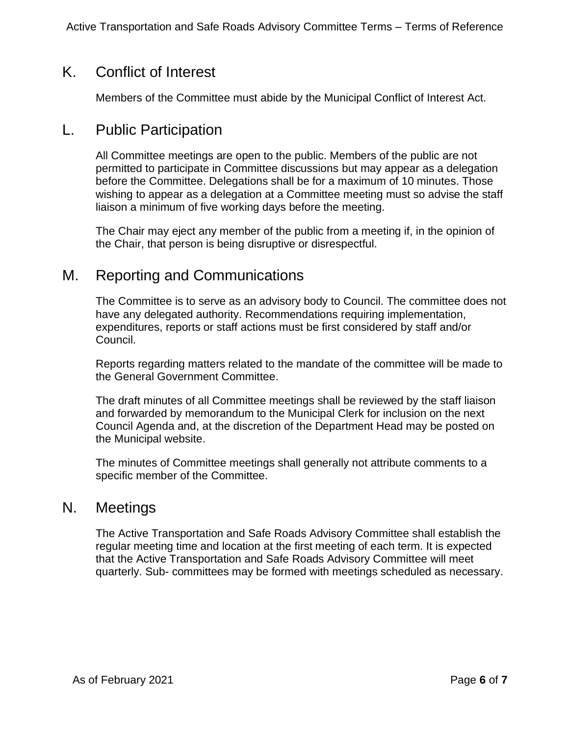## K. Conflict of Interest

Members of the Committee must abide by the Municipal Conflict of Interest Act.

#### L. Public Participation

All Committee meetings are open to the public. Members of the public are not permitted to participate in Committee discussions but may appear as a delegation before the Committee. Delegations shall be for a maximum of 10 minutes. Those wishing to appear as a delegation at a Committee meeting must so advise the staff liaison a minimum of five working days before the meeting.

The Chair may eject any member of the public from a meeting if, in the opinion of the Chair, that person is being disruptive or disrespectful.

## M. Reporting and Communications

The Committee is to serve as an advisory body to Council. The committee does not have any delegated authority. Recommendations requiring implementation, expenditures, reports or staff actions must be first considered by staff and/or Council.

Reports regarding matters related to the mandate of the committee will be made to the General Government Committee.

The draft minutes of all Committee meetings shall be reviewed by the staff liaison and forwarded by memorandum to the Municipal Clerk for inclusion on the next Council Agenda and, at the discretion of the Department Head may be posted on the Municipal website.

The minutes of Committee meetings shall generally not attribute comments to a specific member of the Committee.

#### N. Meetings

The Active Transportation and Safe Roads Advisory Committee shall establish the regular meeting time and location at the first meeting of each term. It is expected that the Active Transportation and Safe Roads Advisory Committee will meet quarterly. Sub- committees may be formed with meetings scheduled as necessary.